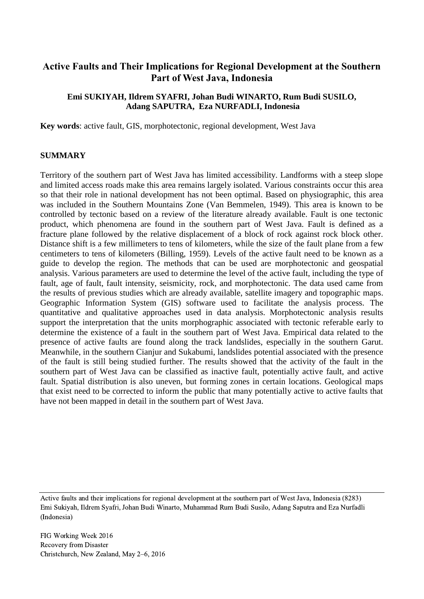# **Active Faults and Their Implications for Regional Development at the Southern Part of West Java, Indonesia**

# **Emi SUKIYAH, Ildrem SYAFRI, Johan Budi WINARTO, Rum Budi SUSILO, Adang SAPUTRA, Eza NURFADLI, Indonesia**

**Key words**: active fault, GIS, morphotectonic, regional development, West Java

## **SUMMARY**

Territory of the southern part of West Java has limited accessibility. Landforms with a steep slope and limited access roads make this area remains largely isolated. Various constraints occur this area so that their role in national development has not been optimal. Based on physiographic, this area was included in the Southern Mountains Zone (Van Bemmelen, 1949). This area is known to be controlled by tectonic based on a review of the literature already available. Fault is one tectonic product, which phenomena are found in the southern part of West Java. Fault is defined as a fracture plane followed by the relative displacement of a block of rock against rock block other. Distance shift is a few millimeters to tens of kilometers, while the size of the fault plane from a few centimeters to tens of kilometers (Billing, 1959). Levels of the active fault need to be known as a guide to develop the region. The methods that can be used are morphotectonic and geospatial analysis. Various parameters are used to determine the level of the active fault, including the type of fault, age of fault, fault intensity, seismicity, rock, and morphotectonic. The data used came from the results of previous studies which are already available, satellite imagery and topographic maps. Geographic Information System (GIS) software used to facilitate the analysis process. The quantitative and qualitative approaches used in data analysis. Morphotectonic analysis results support the interpretation that the units morphographic associated with tectonic referable early to determine the existence of a fault in the southern part of West Java. Empirical data related to the presence of active faults are found along the track landslides, especially in the southern Garut. Meanwhile, in the southern Cianjur and Sukabumi, landslides potential associated with the presence of the fault is still being studied further. The results showed that the activity of the fault in the southern part of West Java can be classified as inactive fault, potentially active fault, and active fault. Spatial distribution is also uneven, but forming zones in certain locations. Geological maps that exist need to be corrected to inform the public that many potentially active to active faults that have not been mapped in detail in the southern part of West Java.

Active faults and their implications for regional development at the southern part of West Java, Indonesia (8283) Emi Sukiyah, Ildrem Syafri, Johan Budi Winarto, Muhammad Rum Budi Susilo, Adang Saputra and Eza Nurfadli (Indonesia)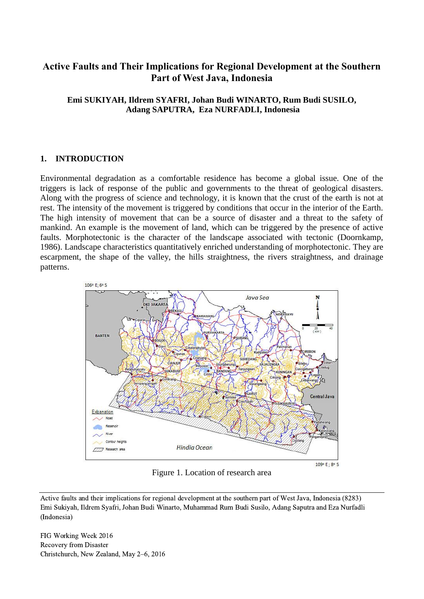# **Active Faults and Their Implications for Regional Development at the Southern Part of West Java, Indonesia**

# **Emi SUKIYAH, Ildrem SYAFRI, Johan Budi WINARTO, Rum Budi SUSILO, Adang SAPUTRA, Eza NURFADLI, Indonesia**

# **1. INTRODUCTION**

Environmental degradation as a comfortable residence has become a global issue. One of the triggers is lack of response of the public and governments to the threat of geological disasters. Along with the progress of science and technology, it is known that the crust of the earth is not at rest. The intensity of the movement is triggered by conditions that occur in the interior of the Earth. The high intensity of movement that can be a source of disaster and a threat to the safety of mankind. An example is the movement of land, which can be triggered by the presence of active faults. Morphotectonic is the character of the landscape associated with tectonic (Doornkamp, 1986). Landscape characteristics quantitatively enriched understanding of morphotectonic. They are escarpment, the shape of the valley, the hills straightness, the rivers straightness, and drainage patterns.



Figure 1. Location of research area

Active faults and their implications for regional development at the southern part of West Java, Indonesia (8283) Emi Sukiyah, Ildrem Syafri, Johan Budi Winarto, Muhammad Rum Budi Susilo, Adang Saputra and Eza Nurfadli (Indonesia)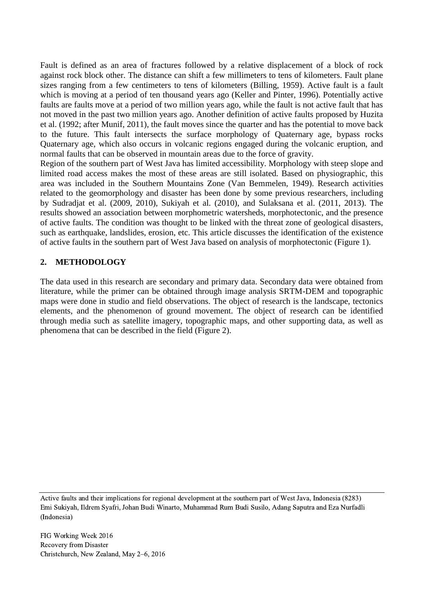Fault is defined as an area of fractures followed by a relative displacement of a block of rock against rock block other. The distance can shift a few millimeters to tens of kilometers. Fault plane sizes ranging from a few centimeters to tens of kilometers (Billing, 1959). Active fault is a fault which is moving at a period of ten thousand years ago (Keller and Pinter, 1996). Potentially active faults are faults move at a period of two million years ago, while the fault is not active fault that has not moved in the past two million years ago. Another definition of active faults proposed by Huzita et al. (1992; after Munif, 2011), the fault moves since the quarter and has the potential to move back to the future. This fault intersects the surface morphology of Quaternary age, bypass rocks Quaternary age, which also occurs in volcanic regions engaged during the volcanic eruption, and normal faults that can be observed in mountain areas due to the force of gravity.

Region of the southern part of West Java has limited accessibility. Morphology with steep slope and limited road access makes the most of these areas are still isolated. Based on physiographic, this area was included in the Southern Mountains Zone (Van Bemmelen, 1949). Research activities related to the geomorphology and disaster has been done by some previous researchers, including by Sudradjat et al. (2009, 2010), Sukiyah et al. (2010), and Sulaksana et al. (2011, 2013). The results showed an association between morphometric watersheds, morphotectonic, and the presence of active faults. The condition was thought to be linked with the threat zone of geological disasters, such as earthquake, landslides, erosion, etc. This article discusses the identification of the existence of active faults in the southern part of West Java based on analysis of morphotectonic (Figure 1).

# **2. METHODOLOGY**

The data used in this research are secondary and primary data. Secondary data were obtained from literature, while the primer can be obtained through image analysis SRTM-DEM and topographic maps were done in studio and field observations. The object of research is the landscape, tectonics elements, and the phenomenon of ground movement. The object of research can be identified through media such as satellite imagery, topographic maps, and other supporting data, as well as phenomena that can be described in the field (Figure 2).

Active faults and their implications for regional development at the southern part of West Java, Indonesia (8283) Emi Sukiyah, Ildrem Syafri, Johan Budi Winarto, Muhammad Rum Budi Susilo, Adang Saputra and Eza Nurfadli (Indonesia)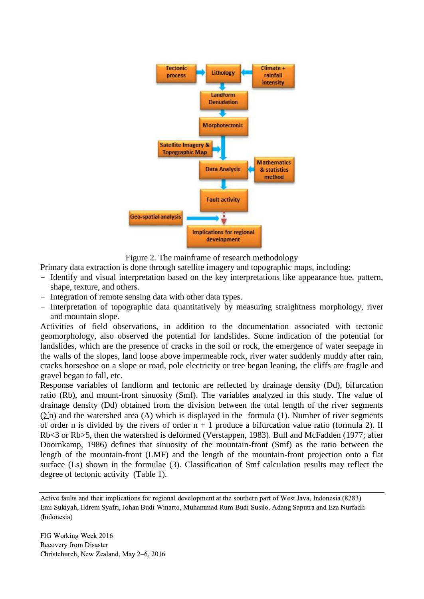

Figure 2. The mainframe of research methodology

Primary data extraction is done through satellite imagery and topographic maps, including:

- Identify and visual interpretation based on the key interpretations like appearance hue, pattern, shape, texture, and others.
- Integration of remote sensing data with other data types.
- Interpretation of topographic data quantitatively by measuring straightness morphology, river and mountain slope.

Activities of field observations, in addition to the documentation associated with tectonic geomorphology, also observed the potential for landslides. Some indication of the potential for landslides, which are the presence of cracks in the soil or rock, the emergence of water seepage in the walls of the slopes, land loose above impermeable rock, river water suddenly muddy after rain, cracks horseshoe on a slope or road, pole electricity or tree began leaning, the cliffs are fragile and gravel began to fall, etc.

Response variables of landform and tectonic are reflected by drainage density (Dd), bifurcation ratio (Rb), and mount-front sinuosity (Smf). The variables analyzed in this study. The value of drainage density (Dd) obtained from the division between the total length of the river segments  $(\Sigma n)$  and the watershed area (A) which is displayed in the formula (1). Number of river segments of order n is divided by the rivers of order  $n + 1$  produce a bifurcation value ratio (formula 2). If Rb<3 or Rb>5, then the watershed is deformed (Verstappen, 1983). Bull and McFadden (1977; after Doornkamp, 1986) defines that sinuosity of the mountain-front (Smf) as the ratio between the length of the mountain-front (LMF) and the length of the mountain-front projection onto a flat surface (Ls) shown in the formulae (3). Classification of Smf calculation results may reflect the degree of tectonic activity (Table 1).

Active faults and their implications for regional development at the southern part of West Java, Indonesia (8283) Emi Sukiyah, Ildrem Syafri, Johan Budi Winarto, Muhammad Rum Budi Susilo, Adang Saputra and Eza Nurfadli (Indonesia)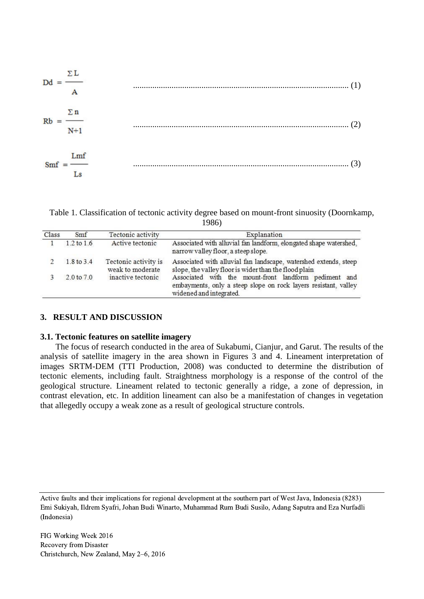

Table 1. Classification of tectonic activity degree based on mount-front sinuosity (Doornkamp, 1986)

| Class | Smf            | Tectonic activity                        | Explanation                                                                                                                                         |
|-------|----------------|------------------------------------------|-----------------------------------------------------------------------------------------------------------------------------------------------------|
|       | $1.2$ to $1.6$ | Active tectonic                          | Associated with alluvial fan landform, elongated shape watershed,<br>narrow valley floor, a steep slope.                                            |
|       | 1.8 to 3.4     | Tectonic activity is<br>weak to moderate | Associated with alluvial fan landscape, watershed extends, steep<br>slope, the valley floor is wider than the flood plain                           |
|       | 2.0 to 7.0     | inactive tectonic                        | Associated with the mount-front landform pediment and<br>embayments, only a steep slope on rock layers resistant, valley<br>widened and integrated. |

#### **3. RESULT AND DISCUSSION**

#### **3.1. Tectonic features on satellite imagery**

The focus of research conducted in the area of Sukabumi, Cianjur, and Garut. The results of the analysis of satellite imagery in the area shown in Figures 3 and 4. Lineament interpretation of images SRTM-DEM (TTI Production, 2008) was conducted to determine the distribution of tectonic elements, including fault. Straightness morphology is a response of the control of the geological structure. Lineament related to tectonic generally a ridge, a zone of depression, in contrast elevation, etc. In addition lineament can also be a manifestation of changes in vegetation that allegedly occupy a weak zone as a result of geological structure controls.

Active faults and their implications for regional development at the southern part of West Java, Indonesia (8283) Emi Sukiyah, Ildrem Syafri, Johan Budi Winarto, Muhammad Rum Budi Susilo, Adang Saputra and Eza Nurfadli (Indonesia)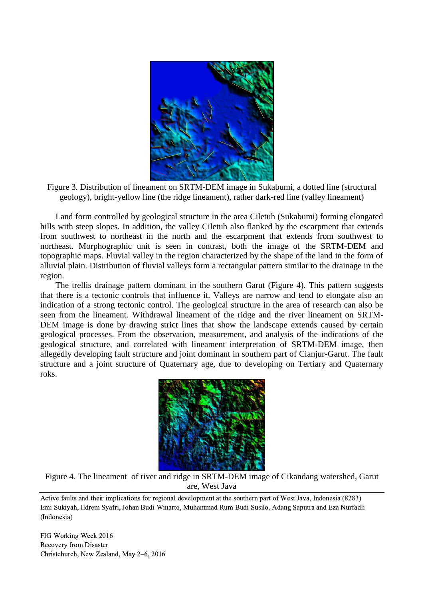



Land form controlled by geological structure in the area Ciletuh (Sukabumi) forming elongated hills with steep slopes. In addition, the valley Ciletuh also flanked by the escarpment that extends from southwest to northeast in the north and the escarpment that extends from southwest to northeast. Morphographic unit is seen in contrast, both the image of the SRTM-DEM and topographic maps. Fluvial valley in the region characterized by the shape of the land in the form of alluvial plain. Distribution of fluvial valleys form a rectangular pattern similar to the drainage in the region.

The trellis drainage pattern dominant in the southern Garut (Figure 4). This pattern suggests that there is a tectonic controls that influence it. Valleys are narrow and tend to elongate also an indication of a strong tectonic control. The geological structure in the area of research can also be seen from the lineament. Withdrawal lineament of the ridge and the river lineament on SRTM-DEM image is done by drawing strict lines that show the landscape extends caused by certain geological processes. From the observation, measurement, and analysis of the indications of the geological structure, and correlated with lineament interpretation of SRTM-DEM image, then allegedly developing fault structure and joint dominant in southern part of Cianjur-Garut. The fault structure and a joint structure of Quaternary age, due to developing on Tertiary and Quaternary roks.



Figure 4. The lineament of river and ridge in SRTM-DEM image of Cikandang watershed, Garut are, West Java

Active faults and their implications for regional development at the southern part of West Java, Indonesia (8283) Emi Sukiyah, Ildrem Syafri, Johan Budi Winarto, Muhammad Rum Budi Susilo, Adang Saputra and Eza Nurfadli (Indonesia)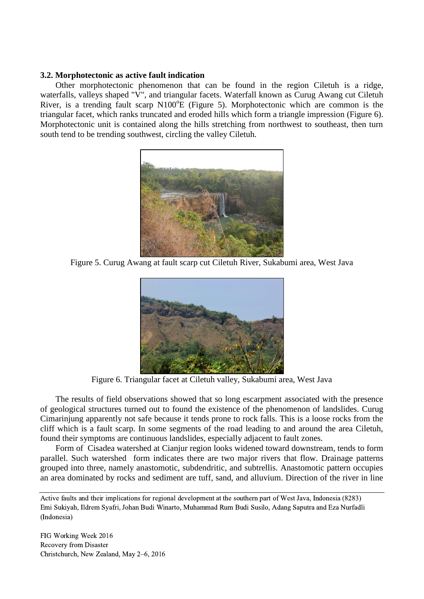## **3.2. Morphotectonic as active fault indication**

Other morphotectonic phenomenon that can be found in the region Ciletuh is a ridge, waterfalls, valleys shaped "V", and triangular facets. Waterfall known as Curug Awang cut Ciletuh River, is a trending fault scarp  $N100^{\circ}E$  (Figure 5). Morphotectonic which are common is the triangular facet, which ranks truncated and eroded hills which form a triangle impression (Figure 6). Morphotectonic unit is contained along the hills stretching from northwest to southeast, then turn south tend to be trending southwest, circling the valley Ciletuh.



Figure 5. Curug Awang at fault scarp cut Ciletuh River, Sukabumi area, West Java



Figure 6. Triangular facet at Ciletuh valley, Sukabumi area, West Java

The results of field observations showed that so long escarpment associated with the presence of geological structures turned out to found the existence of the phenomenon of landslides. Curug Cimarinjung apparently not safe because it tends prone to rock falls. This is a loose rocks from the cliff which is a fault scarp. In some segments of the road leading to and around the area Ciletuh, found their symptoms are continuous landslides, especially adjacent to fault zones.

Form of Cisadea watershed at Cianjur region looks widened toward downstream, tends to form parallel. Such watershed form indicates there are two major rivers that flow. Drainage patterns grouped into three, namely anastomotic, subdendritic, and subtrellis. Anastomotic pattern occupies an area dominated by rocks and sediment are tuff, sand, and alluvium. Direction of the river in line

Active faults and their implications for regional development at the southern part of West Java, Indonesia (8283) Emi Sukiyah, Ildrem Syafri, Johan Budi Winarto, Muhammad Rum Budi Susilo, Adang Saputra and Eza Nurfadli (Indonesia)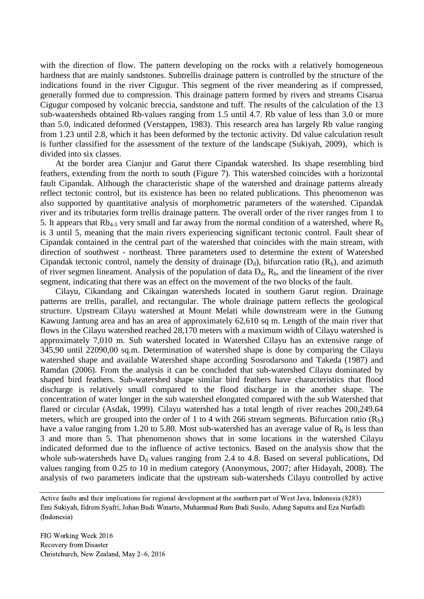with the direction of flow. The pattern developing on the rocks with a relatively homogeneous hardness that are mainly sandstones. Subtrellis drainage pattern is controlled by the structure of the indications found in the river Cigugur. This segment of the river meandering as if compressed, generally formed due to compression. This drainage pattern formed by rivers and streams Cisarua Cigugur composed by volcanic breccia, sandstone and tuff. The results of the calculation of the 13 sub-waatersheds obtained Rb-values ranging from 1.5 until 4.7. Rb value of less than 3.0 or more than 5.0, indicated deformed (Verstappen, 1983). This research area has largely Rb value ranging from 1.23 until 2.8, which it has been deformed by the tectonic activity. Dd value calculation result is further classified for the assessment of the texture of the landscape (Sukiyah, 2009), which is divided into six classes.

At the border area Cianjur and Garut there Cipandak watershed. Its shape resembling bird feathers, extending from the north to south (Figure 7). This watershed coincides with a horizontal fault Cipandak. Although the characteristic shape of the watershed and drainage patterns already reflect tectonic control, but its existence has been no related publications. This phenomenon was also supported by quantitative analysis of morphometric parameters of the watershed. Cipandak river and its tributaries form trellis drainage pattern. The overall order of the river ranges from 1 to 5. It appears that  $Rb_{4-5}$  very small and far away from the normal condition of a watershed, where  $R_b$ is 3 until 5, meaning that the main rivers experiencing significant tectonic control. Fault shear of Cipandak contained in the central part of the watershed that coincides with the main stream, with direction of southwest - northeast. Three parameters used to determine the extent of Watershed Cipandak tectonic control, namely the density of drainage  $(D_d)$ , bifurcation ratio  $(R_b)$ , and azimuth of river segmen lineament. Analysis of the population of data  $D_d$ ,  $R_b$ , and the lineament of the river segment, indicating that there was an effect on the movement of the two blocks of the fault.

Cilayu, Cikandang and Cikaingan watersheds located in southern Garut region. Drainage patterns are trellis, parallel, and rectangular. The whole drainage pattern reflects the geological structure. Upstream Cilayu watershed at Mount Melati while downstream were in the Gunung Kawung Jantung area and has an area of approximately 62,610 sq m. Length of the main river that flows in the Cilayu watershed reached 28,170 meters with a maximum width of Cilayu watershed is approximately 7,010 m. Sub watershed located in Watershed Cilayu has an extensive range of 345,90 until 22090,00 sq.m. Determination of watershed shape is done by comparing the Cilayu watershed shape and available Watershed shape according Sosrodarsono and Takeda (1987) and Ramdan (2006). From the analysis it can be concluded that sub-watershed Cilayu dominated by shaped bird feathers. Sub-watershed shape similar bird feathers have characteristics that flood discharge is relatively small compared to the flood discharge in the another shape. The concentration of water longer in the sub watershed elongated compared with the sub Watershed that flared or circular (Asdak, 1999). Cilayu watershed has a total length of river reaches 200,249.64 meters, which are grouped into the order of 1 to 4 with 266 stream segments. Bifurcation ratio  $(R_h)$ have a value ranging from 1.20 to 5.80. Most sub-watershed has an average value of  $R_b$  is less than 3 and more than 5. That phenomenon shows that in some locations in the watershed Cilayu indicated deformed due to the influence of active tectonics. Based on the analysis show that the whole sub-watersheds have  $D_d$  values ranging from 2.4 to 4.8. Based on several publications, Dd values ranging from 0.25 to 10 in medium category (Anonymous, 2007; after Hidayah, 2008). The analysis of two parameters indicate that the upstream sub-watersheds Cilayu controlled by active

Active faults and their implications for regional development at the southern part of West Java, Indonesia (8283) Emi Sukiyah, Ildrem Syafri, Johan Budi Winarto, Muhammad Rum Budi Susilo, Adang Saputra and Eza Nurfadli (Indonesia)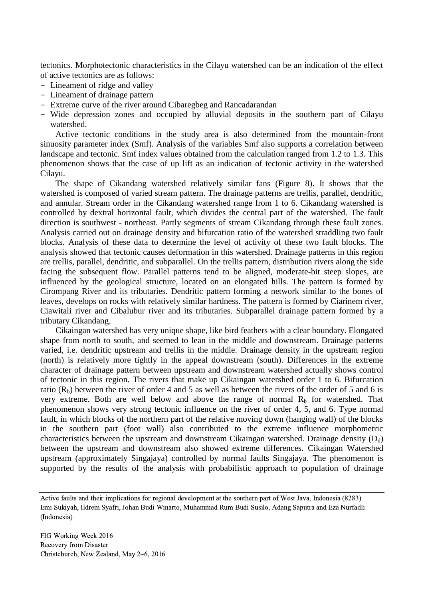tectonics. Morphotectonic characteristics in the Cilayu watershed can be an indication of the effect of active tectonics are as follows:

- Lineament of ridge and valley
- Lineament of drainage pattern
- Extreme curve of the river around Cibaregbeg and Rancadarandan
- Wide depression zones and occupied by alluvial deposits in the southern part of Cilayu watershed.

Active tectonic conditions in the study area is also determined from the mountain-front sinuosity parameter index (Smf). Analysis of the variables Smf also supports a correlation between landscape and tectonic. Smf index values obtained from the calculation ranged from 1.2 to 1.3. This phenomenon shows that the case of up lift as an indication of tectonic activity in the watershed Cilayu.

The shape of Cikandang watershed relatively similar fans (Figure 8). It shows that the watershed is composed of varied stream pattern. The drainage patterns are trellis, parallel, dendritic, and annular. Stream order in the Cikandang watershed range from 1 to 6. Cikandang watershed is controlled by dextral horizontal fault, which divides the central part of the watershed. The fault direction is southwest - northeast. Partly segments of stream Cikandang through these fault zones. Analysis carried out on drainage density and bifurcation ratio of the watershed straddling two fault blocks. Analysis of these data to determine the level of activity of these two fault blocks. The analysis showed that tectonic causes deformation in this watershed. Drainage patterns in this region are trellis, parallel, dendritic, and subparallel. On the trellis pattern, distribution rivers along the side facing the subsequent flow. Parallel patterns tend to be aligned, moderate-bit steep slopes, are influenced by the geological structure, located on an elongated hills. The pattern is formed by Cirompang River and its tributaries. Dendritic pattern forming a network similar to the bones of leaves, develops on rocks with relatively similar hardness. The pattern is formed by Ciarinem river, Ciawitali river and Cibalubur river and its tributaries. Subparallel drainage pattern formed by a tributary Cikandang.

Cikaingan watershed has very unique shape, like bird feathers with a clear boundary. Elongated shape from north to south, and seemed to lean in the middle and downstream. Drainage patterns varied, i.e. dendritic upstream and trellis in the middle. Drainage density in the upstream region (north) is relatively more tightly in the appeal downstream (south). Differences in the extreme character of drainage pattern between upstream and downstream watershed actually shows control of tectonic in this region. The rivers that make up Cikaingan watershed order 1 to 6. Bifurcation ratio  $(R_b)$  between the river of order 4 and 5 as well as between the rivers of the order of 5 and 6 is very extreme. Both are well below and above the range of normal  $R<sub>b</sub>$  for watershed. That phenomenon shows very strong tectonic influence on the river of order 4, 5, and 6. Type normal fault, in which blocks of the northern part of the relative moving down (hanging wall) of the blocks in the southern part (foot wall) also contributed to the extreme influence morphometric characteristics between the upstream and downstream Cikaingan watershed. Drainage density  $(D_d)$ between the upstream and downstream also showed extreme differences. Cikaingan Watershed upstream (approximately Singajaya) controlled by normal faults Singajaya. The phenomenon is supported by the results of the analysis with probabilistic approach to population of drainage

Active faults and their implications for regional development at the southern part of West Java, Indonesia (8283) Emi Sukiyah, Ildrem Syafri, Johan Budi Winarto, Muhammad Rum Budi Susilo, Adang Saputra and Eza Nurfadli (Indonesia)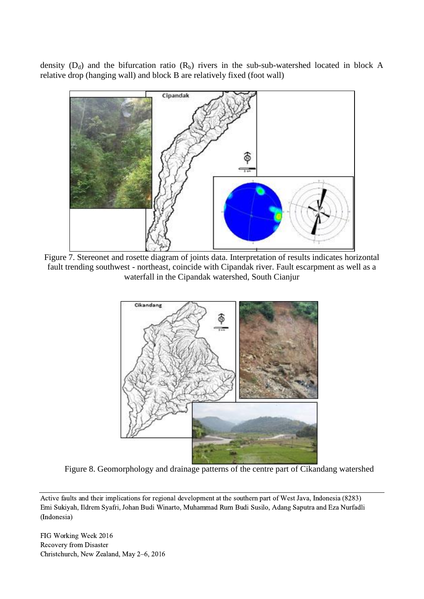density  $(D_d)$  and the bifurcation ratio  $(R_b)$  rivers in the sub-sub-watershed located in block A relative drop (hanging wall) and block B are relatively fixed (foot wall)



Figure 7. Stereonet and rosette diagram of joints data. Interpretation of results indicates horizontal fault trending southwest - northeast, coincide with Cipandak river. Fault escarpment as well as a waterfall in the Cipandak watershed, South Cianjur



Figure 8. Geomorphology and drainage patterns of the centre part of Cikandang watershed

Active faults and their implications for regional development at the southern part of West Java, Indonesia (8283) Emi Sukiyah, Ildrem Syafri, Johan Budi Winarto, Muhammad Rum Budi Susilo, Adang Saputra and Eza Nurfadli (Indonesia)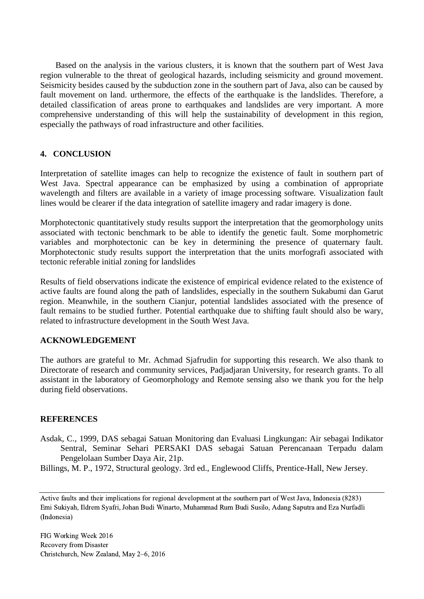Based on the analysis in the various clusters, it is known that the southern part of West Java region vulnerable to the threat of geological hazards, including seismicity and ground movement. Seismicity besides caused by the subduction zone in the southern part of Java, also can be caused by fault movement on land. urthermore, the effects of the earthquake is the landslides. Therefore, a detailed classification of areas prone to earthquakes and landslides are very important. A more comprehensive understanding of this will help the sustainability of development in this region, especially the pathways of road infrastructure and other facilities.

# **4. CONCLUSION**

Interpretation of satellite images can help to recognize the existence of fault in southern part of West Java. Spectral appearance can be emphasized by using a combination of appropriate wavelength and filters are available in a variety of image processing software. Visualization fault lines would be clearer if the data integration of satellite imagery and radar imagery is done.

Morphotectonic quantitatively study results support the interpretation that the geomorphology units associated with tectonic benchmark to be able to identify the genetic fault. Some morphometric variables and morphotectonic can be key in determining the presence of quaternary fault. Morphotectonic study results support the interpretation that the units morfografi associated with tectonic referable initial zoning for landslides

Results of field observations indicate the existence of empirical evidence related to the existence of active faults are found along the path of landslides, especially in the southern Sukabumi dan Garut region. Meanwhile, in the southern Cianjur, potential landslides associated with the presence of fault remains to be studied further. Potential earthquake due to shifting fault should also be wary, related to infrastructure development in the South West Java.

## **ACKNOWLEDGEMENT**

The authors are grateful to Mr. Achmad Sjafrudin for supporting this research. We also thank to Directorate of research and community services, Padjadjaran University, for research grants. To all assistant in the laboratory of Geomorphology and Remote sensing also we thank you for the help during field observations.

## **REFERENCES**

Asdak, C., 1999, DAS sebagai Satuan Monitoring dan Evaluasi Lingkungan: Air sebagai Indikator Sentral, Seminar Sehari PERSAKI DAS sebagai Satuan Perencanaan Terpadu dalam Pengelolaan Sumber Daya Air, 21p.

Billings, M. P., 1972, Structural geology. 3rd ed., Englewood Cliffs, Prentice-Hall, New Jersey.

Active faults and their implications for regional development at the southern part of West Java, Indonesia (8283) Emi Sukiyah, Ildrem Syafri, Johan Budi Winarto, Muhammad Rum Budi Susilo, Adang Saputra and Eza Nurfadli (Indonesia)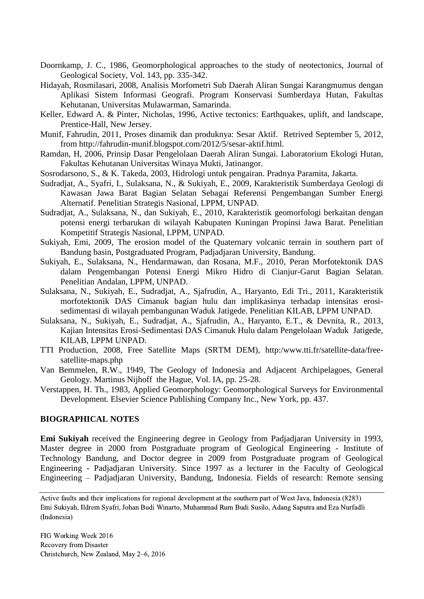- Doornkamp, J. C., 1986, Geomorphological approaches to the study of neotectonics, Journal of Geological Society, Vol. 143, pp. 335-342.
- Hidayah, Rosmilasari, 2008, Analisis Morfometri Sub Daerah Aliran Sungai Karangmumus dengan Aplikasi Sistem Informasi Geografi. Program Konservasi Sumberdaya Hutan, Fakultas Kehutanan, Universitas Mulawarman, Samarinda.
- Keller, Edward A. & Pinter, Nicholas, 1996, Active tectonics: Earthquakes, uplift, and landscape, Prentice-Hall, New Jersey.
- Munif, Fahrudin, 2011, Proses dinamik dan produknya: Sesar Aktif. Retrived September 5, 2012, from http://fahrudin-munif.blogspot.com/2012/5/sesar-aktif.html.
- Ramdan, H, 2006, Prinsip Dasar Pengelolaan Daerah Aliran Sungai. Laboratorium Ekologi Hutan, Fakultas Kehutanan Universitas Winaya Mukti, Jatinangor.
- Sosrodarsono, S., & K. Takeda, 2003, Hidrologi untuk pengairan. Pradnya Paramita, Jakarta.
- Sudradjat, A., Syafri, I., Sulaksana, N., & Sukiyah, E., 2009, Karakteristik Sumberdaya Geologi di Kawasan Jawa Barat Bagian Selatan Sebagai Referensi Pengembangan Sumber Energi Alternatif. Penelitian Strategis Nasional, LPPM, UNPAD.
- Sudradjat, A., Sulaksana, N., dan Sukiyah, E., 2010, Karakteristik geomorfologi berkaitan dengan potensi energi terbarukan di wilayah Kabupaten Kuningan Propinsi Jawa Barat. Penelitian Kompetitif Strategis Nasional, LPPM, UNPAD.
- Sukiyah, Emi, 2009, The erosion model of the Quaternary volcanic terrain in southern part of Bandung basin, Postgraduated Program, Padjadjaran University, Bandung.
- Sukiyah, E., Sulaksana, N., Hendarmawan, dan Rosana, M.F., 2010, Peran Morfotektonik DAS dalam Pengembangan Potensi Energi Mikro Hidro di Cianjur-Garut Bagian Selatan. Penelitian Andalan, LPPM, UNPAD.
- Sulaksana, N., Sukiyah, E., Sudradjat, A., Sjafrudin, A., Haryanto, Edi Tri., 2011, Karakteristik morfotektonik DAS Cimanuk bagian hulu dan implikasinya terhadap intensitas erosisedimentasi di wilayah pembangunan Waduk Jatigede. Penelitian KILAB, LPPM UNPAD.
- Sulaksana, N., Sukiyah, E., Sudradjat, A., Sjafrudin, A., Haryanto, E.T., & Devnita, R., 2013, Kajian Intensitas Erosi-Sedimentasi DAS Cimanuk Hulu dalam Pengelolaan Waduk Jatigede, KILAB, LPPM UNPAD.
- TTI Production, 2008, Free Satellite Maps (SRTM DEM), http:/www.tti.fr/satellite-data/freesatellite-maps.php
- Van Bemmelen, R.W., 1949, The Geology of Indonesia and Adjacent Archipelagoes, General Geology. Martinus Nijhoff the Hague, Vol. IA, pp. 25-28.
- Verstappen, H. Th., 1983, Applied Geomorphology: Geomorphological Surveys for Environmental Development. Elsevier Science Publishing Company Inc., New York, pp. 437.

#### **BIOGRAPHICAL NOTES**

**Emi Sukiyah** received the Engineering degree in Geology from Padjadjaran University in 1993, Master degree in 2000 from Postgraduate program of Geological Engineering - Institute of Technology Bandung, and Doctor degree in 2009 from Postgraduate program of Geological Engineering - Padjadjaran University. Since 1997 as a lecturer in the Faculty of Geological Engineering – Padjadjaran University, Bandung, Indonesia. Fields of research: Remote sensing

Active faults and their implications for regional development at the southern part of West Java, Indonesia (8283) Emi Sukiyah, Ildrem Syafri, Johan Budi Winarto, Muhammad Rum Budi Susilo, Adang Saputra and Eza Nurfadli (Indonesia)